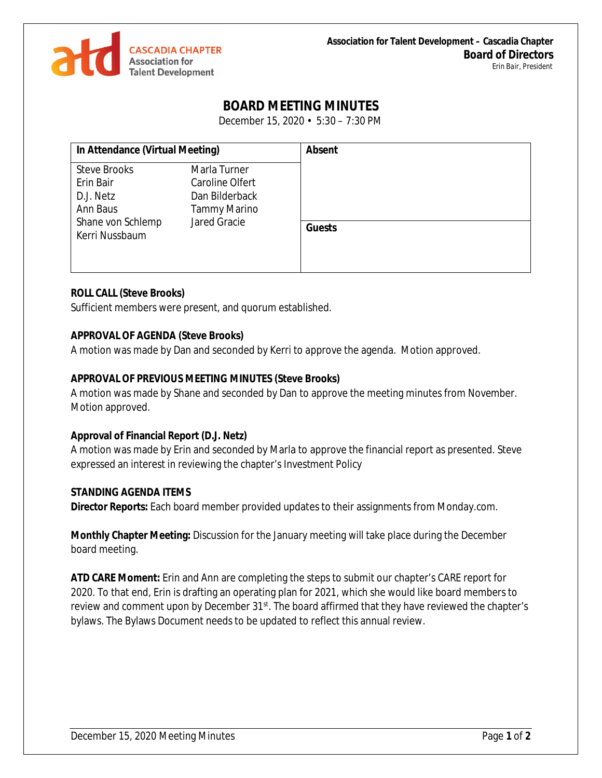# **BOARD MEETING MINUTES**

December 15, 2020 • 5:30 – 7:30 PM

| In Attendance (Virtual Meeting)                           |                                                                          | <b>Absent</b> |
|-----------------------------------------------------------|--------------------------------------------------------------------------|---------------|
| <b>Steve Brooks</b><br>Erin Bair<br>D.J. Netz<br>Ann Baus | Marla Turner<br>Caroline Olfert<br>Dan Bilderback<br><b>Tammy Marino</b> | <b>Guests</b> |
| Shane von Schlemp<br>Kerri Nussbaum                       | Jared Gracie                                                             |               |

# **ROLL CALL (Steve Brooks)**

Sufficient members were present, and quorum established.

# **APPROVAL OF AGENDA (Steve Brooks)**

A motion was made by Dan and seconded by Kerri to approve the agenda. Motion approved.

# **APPROVAL OF PREVIOUS MEETING MINUTES (Steve Brooks)**

A motion was made by Shane and seconded by Dan to approve the meeting minutes from November. Motion approved.

# **Approval of Financial Report (D.J. Netz)**

A motion was made by Erin and seconded by Marla to approve the financial report as presented. Steve expressed an interest in reviewing the chapter's Investment Policy

#### **STANDING AGENDA ITEMS**

**Director Reports:** Each board member provided updates to their assignments from Monday.com.

**Monthly Chapter Meeting:** Discussion for the January meeting will take place during the December board meeting.

**ATD CARE Moment:** Erin and Ann are completing the steps to submit our chapter's CARE report for 2020. To that end, Erin is drafting an operating plan for 2021, which she would like board members to review and comment upon by December 31<sup>st</sup>. The board affirmed that they have reviewed the chapter's bylaws. The Bylaws Document needs to be updated to reflect this annual review.